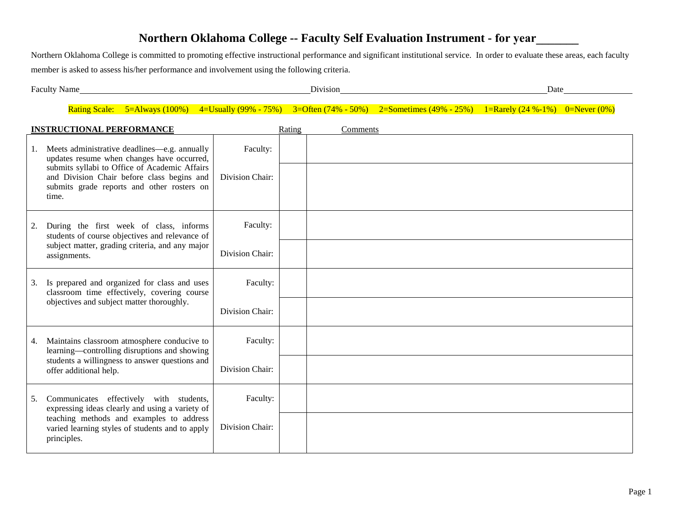# **Northern Oklahoma College -- Faculty Self Evaluation Instrument - for year\_\_\_\_\_\_\_**

Northern Oklahoma College is committed to promoting effective instructional performance and significant institutional service. In order to evaluate these areas, each faculty member is asked to assess his/her performance and involvement using the following criteria.

| $\overline{\phantom{a}}$<br>Faculty<br>Name | Division | Date |
|---------------------------------------------|----------|------|
|                                             |          |      |

Rating Scale: 5=Always (100%) 4=Usually (99% - 75%) 3=Often (74% - 50%) 2=Sometimes (49% - 25%) 1=Rarely (24 %-1%) 0=Never (0%)

| <b>INSTRUCTIONAL PERFORMANCE</b> |                                                                                                                                                                                                                                                  |                             | Rating | Comments |
|----------------------------------|--------------------------------------------------------------------------------------------------------------------------------------------------------------------------------------------------------------------------------------------------|-----------------------------|--------|----------|
|                                  | Meets administrative deadlines—e.g. annually<br>updates resume when changes have occurred,<br>submits syllabi to Office of Academic Affairs<br>and Division Chair before class begins and<br>submits grade reports and other rosters on<br>time. | Faculty:<br>Division Chair: |        |          |
| 2.                               | During the first week of class, informs<br>students of course objectives and relevance of<br>subject matter, grading criteria, and any major<br>assignments.                                                                                     | Faculty:<br>Division Chair: |        |          |
| 3.                               | Is prepared and organized for class and uses<br>classroom time effectively, covering course<br>objectives and subject matter thoroughly.                                                                                                         | Faculty:<br>Division Chair: |        |          |
| 4.                               | Maintains classroom atmosphere conducive to<br>learning—controlling disruptions and showing<br>students a willingness to answer questions and<br>offer additional help.                                                                          | Faculty:<br>Division Chair: |        |          |
| 5.                               | Communicates effectively with students,<br>expressing ideas clearly and using a variety of<br>teaching methods and examples to address<br>varied learning styles of students and to apply<br>principles.                                         | Faculty:<br>Division Chair: |        |          |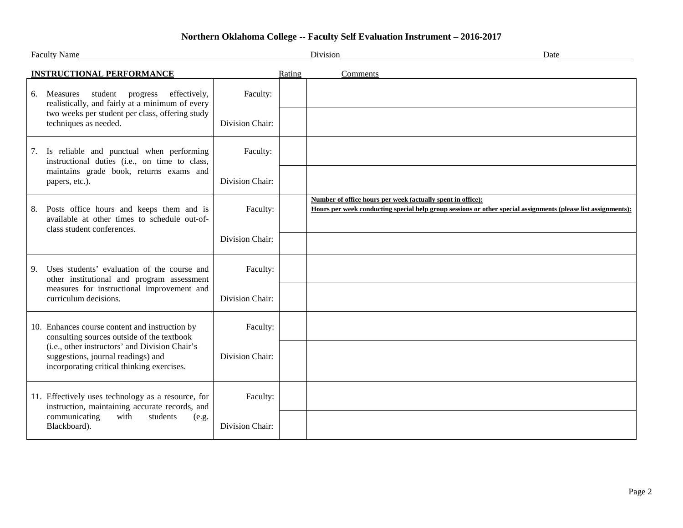# **Northern Oklahoma College -- Faculty Self Evaluation Instrument – 2016-2017**

| Faculty Name_                                                                                                                      |                 | Division                                                    | Date                                                                                                          |
|------------------------------------------------------------------------------------------------------------------------------------|-----------------|-------------------------------------------------------------|---------------------------------------------------------------------------------------------------------------|
| <b>INSTRUCTIONAL PERFORMANCE</b>                                                                                                   |                 | Rating<br>Comments                                          |                                                                                                               |
| Measures student progress<br>effectively,<br>6.<br>realistically, and fairly at a minimum of every                                 | Faculty:        |                                                             |                                                                                                               |
| two weeks per student per class, offering study<br>techniques as needed.                                                           | Division Chair: |                                                             |                                                                                                               |
| Is reliable and punctual when performing<br>7.<br>instructional duties (i.e., on time to class,                                    | Faculty:        |                                                             |                                                                                                               |
| maintains grade book, returns exams and<br>papers, etc.).                                                                          | Division Chair: |                                                             |                                                                                                               |
| Posts office hours and keeps them and is<br>8.<br>available at other times to schedule out-of-                                     | Faculty:        | Number of office hours per week (actually spent in office): | Hours per week conducting special help group sessions or other special assignments (please list assignments): |
| class student conferences.                                                                                                         | Division Chair: |                                                             |                                                                                                               |
| Uses students' evaluation of the course and<br>9.<br>other institutional and program assessment                                    | Faculty:        |                                                             |                                                                                                               |
| measures for instructional improvement and<br>curriculum decisions.                                                                | Division Chair: |                                                             |                                                                                                               |
| 10. Enhances course content and instruction by<br>consulting sources outside of the textbook                                       | Faculty:        |                                                             |                                                                                                               |
| (i.e., other instructors' and Division Chair's<br>suggestions, journal readings) and<br>incorporating critical thinking exercises. | Division Chair: |                                                             |                                                                                                               |
| 11. Effectively uses technology as a resource, for<br>instruction, maintaining accurate records, and                               | Faculty:        |                                                             |                                                                                                               |
| communicating<br>with<br>students<br>(e.g.<br>Blackboard).                                                                         | Division Chair: |                                                             |                                                                                                               |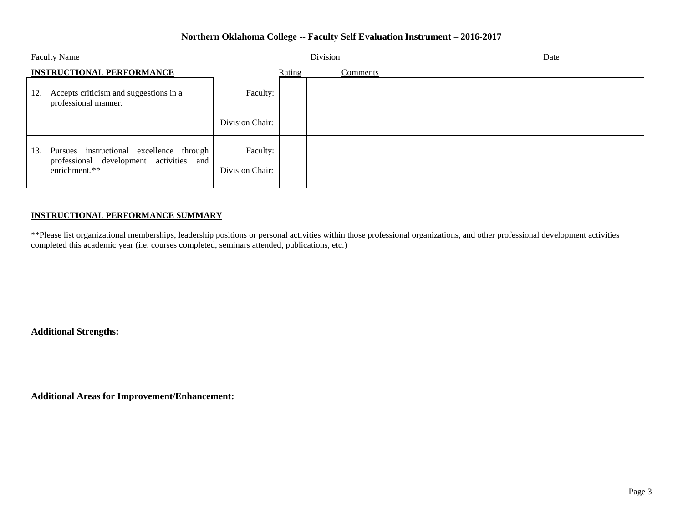### **Northern Oklahoma College -- Faculty Self Evaluation Instrument – 2016-2017**

|                                  |                                                                                                      | Division        |          | Date |  |
|----------------------------------|------------------------------------------------------------------------------------------------------|-----------------|----------|------|--|
| <b>INSTRUCTIONAL PERFORMANCE</b> |                                                                                                      | Rating          | Comments |      |  |
| 12.                              | Accepts criticism and suggestions in a<br>professional manner.                                       | Faculty:        |          |      |  |
|                                  |                                                                                                      | Division Chair: |          |      |  |
| 13.                              | Pursues instructional excellence through<br>professional development activities and<br>enrichment.** | Faculty:        |          |      |  |
|                                  |                                                                                                      | Division Chair: |          |      |  |

#### **INSTRUCTIONAL PERFORMANCE SUMMARY**

\*\*Please list organizational memberships, leadership positions or personal activities within those professional organizations, and other professional development activities completed this academic year (i.e. courses completed, seminars attended, publications, etc.)

**Additional Strengths:**

**Additional Areas for Improvement/Enhancement:**